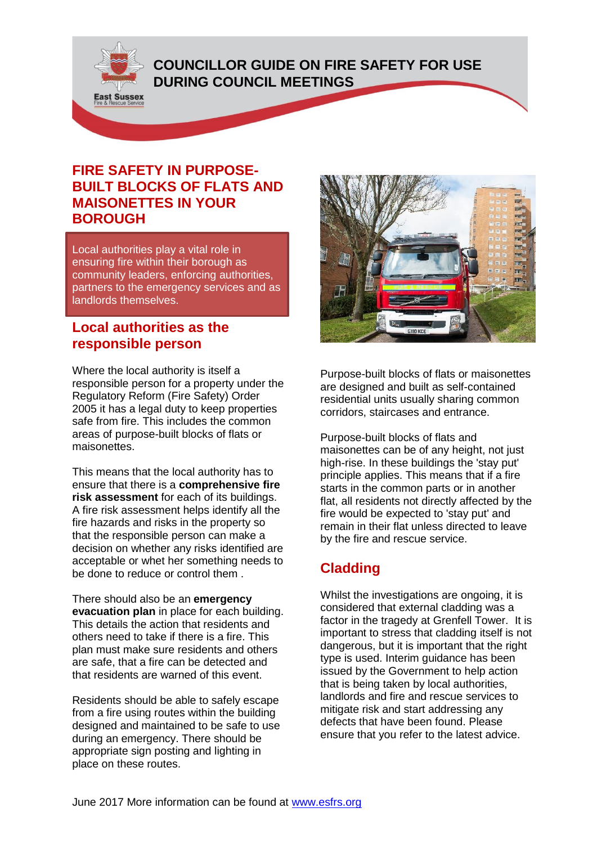**COUNCILLOR GUIDE ON FIRE SAFETY FOR USE** 

## **DURING COUNCIL MEETINGS**



**East Sussex** 

Local authorities play a vital role in ensuring fire within their borough as community leaders, enforcing authorities, partners to the emergency services and as landlords themselves.

### **Local authorities as the responsible person**

Where the local authority is itself a responsible person for a property under the Regulatory Reform (Fire Safety) Order 2005 it has a legal duty to keep properties safe from fire. This includes the common areas of purpose-built blocks of flats or maisonettes.

This means that the local authority has to ensure that there is a **comprehensive fire risk assessment** for each of its buildings. A fire risk assessment helps identify all the fire hazards and risks in the property so that the responsible person can make a decision on whether any risks identified are acceptable or whet her something needs to be done to reduce or control them .

There should also be an **emergency evacuation plan** in place for each building. This details the action that residents and others need to take if there is a fire. This plan must make sure residents and others are safe, that a fire can be detected and that residents are warned of this event.

Residents should be able to safely escape from a fire using routes within the building designed and maintained to be safe to use during an emergency. There should be appropriate sign posting and lighting in place on these routes.



Purpose-built blocks of flats or maisonettes are designed and built as self-contained residential units usually sharing common corridors, staircases and entrance.

Purpose-built blocks of flats and maisonettes can be of any height, not just high-rise. In these buildings the 'stay put' principle applies. This means that if a fire starts in the common parts or in another flat, all residents not directly affected by the fire would be expected to 'stay put' and remain in their flat unless directed to leave by the fire and rescue service.

# **Cladding**

Whilst the investigations are ongoing, it is considered that external cladding was a factor in the tragedy at Grenfell Tower. It is important to stress that cladding itself is not dangerous, but it is important that the right type is used. Interim guidance has been issued by the Government to help action that is being taken by local authorities, landlords and fire and rescue services to mitigate risk and start addressing any defects that have been found. Please ensure that you refer to the latest advice.